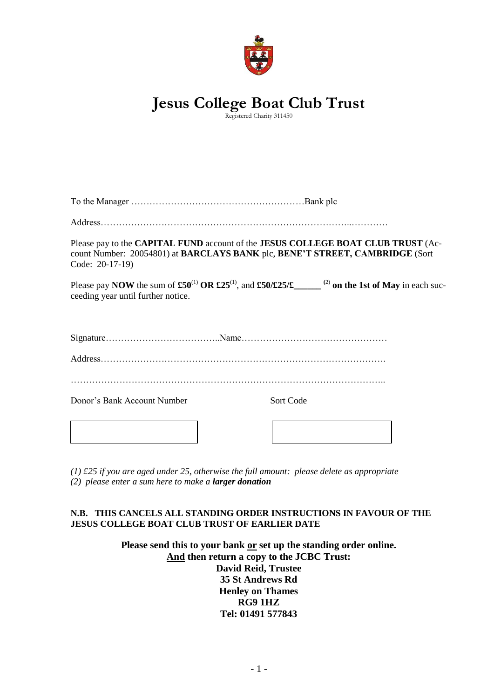

# **Jesus College Boat Club Trust**

Registered Charity 311450

| Code: 20-17-19)                    |           | Please pay to the CAPITAL FUND account of the JESUS COLLEGE BOAT CLUB TRUST (Ac-<br>count Number: 20054801) at BARCLAYS BANK plc, BENE'T STREET, CAMBRIDGE (Sort |  |
|------------------------------------|-----------|------------------------------------------------------------------------------------------------------------------------------------------------------------------|--|
| ceeding year until further notice. |           | Please pay NOW the sum of $\pounds 50^{(1)}$ OR $\pounds 25^{(1)}$ , and $\pounds 50/\pounds 25/\pounds$ (2) on the 1st of May in each suc-                      |  |
|                                    |           |                                                                                                                                                                  |  |
|                                    |           |                                                                                                                                                                  |  |
|                                    |           |                                                                                                                                                                  |  |
| Donor's Bank Account Number        | Sort Code |                                                                                                                                                                  |  |
|                                    |           |                                                                                                                                                                  |  |

*(1) £25 if you are aged under 25, otherwise the full amount: please delete as appropriate (2) please enter a sum here to make a larger donation*

# **N.B. THIS CANCELS ALL STANDING ORDER INSTRUCTIONS IN FAVOUR OF THE JESUS COLLEGE BOAT CLUB TRUST OF EARLIER DATE**

**Please send this to your bank or set up the standing order online. And then return a copy to the JCBC Trust: David Reid, Trustee 35 St Andrews Rd Henley on Thames RG9 1HZ Tel: 01491 577843**